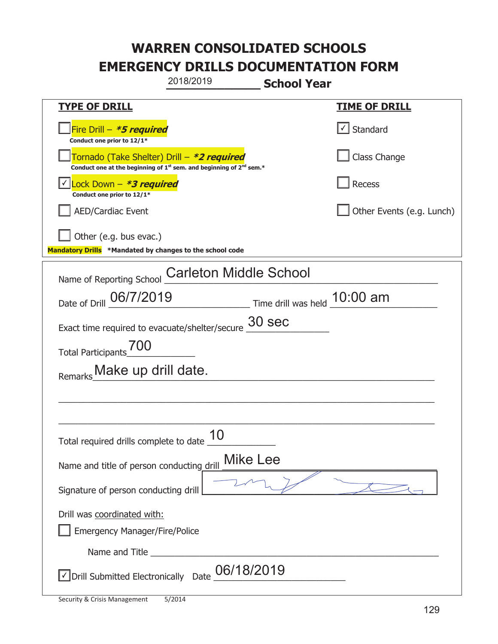|                                                                                    | 2018/2019                                                                                   | <b>School Year</b>                      |                           |
|------------------------------------------------------------------------------------|---------------------------------------------------------------------------------------------|-----------------------------------------|---------------------------|
| <b>TYPE OF DRILL</b>                                                               |                                                                                             |                                         | <b>TIME OF DRILL</b>      |
| Fire Drill - *5 required<br>Conduct one prior to 12/1*                             |                                                                                             |                                         | $\lfloor$ Standard        |
| Tornado (Take Shelter) Drill – *2 required                                         | Conduct one at the beginning of 1 <sup>st</sup> sem. and beginning of 2 <sup>nd</sup> sem.* |                                         | Class Change              |
| Lock Down - <b>*3 required</b><br>Conduct one prior to 12/1*                       |                                                                                             |                                         | Recess                    |
| <b>AED/Cardiac Event</b>                                                           |                                                                                             |                                         | Other Events (e.g. Lunch) |
| Other (e.g. bus evac.)<br>Mandatory Drills *Mandated by changes to the school code |                                                                                             |                                         |                           |
| Name of Reporting School                                                           | <b>Carleton Middle School</b>                                                               |                                         |                           |
| Date of Drill 06/7/2019                                                            |                                                                                             | $\equiv$ Time drill was held $10:00$ am |                           |
| Exact time required to evacuate/shelter/secure $\frac{30}{2}$ Sec                  |                                                                                             |                                         |                           |
| Total Participants                                                                 |                                                                                             |                                         |                           |
| Remarks Make up drill date.                                                        |                                                                                             |                                         |                           |
|                                                                                    |                                                                                             |                                         |                           |
|                                                                                    |                                                                                             |                                         |                           |
| Total required drills complete to date $\frac{10}{10}$                             |                                                                                             |                                         |                           |
| Name and title of person conducting drill                                          | <b>Mike Lee</b>                                                                             |                                         |                           |
| Signature of person conducting drill                                               |                                                                                             |                                         |                           |
| Drill was coordinated with:<br><b>Emergency Manager/Fire/Police</b>                |                                                                                             |                                         |                           |
|                                                                                    |                                                                                             |                                         |                           |
| √ Drill Submitted Electronically Date                                              | 06/18/2019                                                                                  |                                         |                           |

T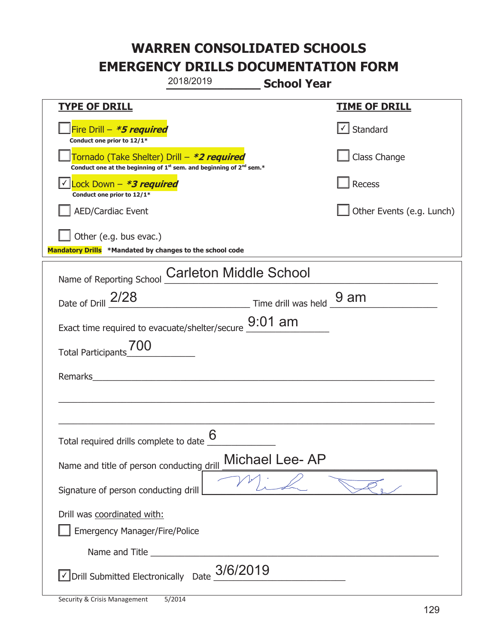|                                                                                    | 2018/2019                                                                                   | <b>School Year</b> |                                   |
|------------------------------------------------------------------------------------|---------------------------------------------------------------------------------------------|--------------------|-----------------------------------|
| <b>TYPE OF DRILL</b>                                                               |                                                                                             |                    | <b>TIME OF DRILL</b>              |
| Fire Drill $-$ <i>*5 required</i><br>Conduct one prior to 12/1*                    |                                                                                             |                    | $\lfloor \angle \rfloor$ Standard |
| Tornado (Take Shelter) Drill – *2 required                                         | Conduct one at the beginning of 1 <sup>st</sup> sem. and beginning of 2 <sup>nd</sup> sem.* |                    | Class Change                      |
| Lock Down - <b>*3 required</b><br>Conduct one prior to 12/1*                       |                                                                                             |                    | Recess                            |
| <b>AED/Cardiac Event</b>                                                           |                                                                                             |                    | Other Events (e.g. Lunch)         |
| Other (e.g. bus evac.)<br>Mandatory Drills *Mandated by changes to the school code |                                                                                             |                    |                                   |
| Name of Reporting School                                                           | <b>Carleton Middle School</b>                                                               |                    |                                   |
| Date of Drill 2/28                                                                 | Time drill was held 9 am                                                                    |                    |                                   |
| Exact time required to evacuate/shelter/secure $\underline{\mathsf{9:01}}$ am      |                                                                                             |                    |                                   |
| <b>Total Participants</b>                                                          |                                                                                             |                    |                                   |
| Remarks                                                                            |                                                                                             |                    |                                   |
|                                                                                    |                                                                                             |                    |                                   |
| Total required drills complete to date $\frac{0}{2}$                               | 6                                                                                           |                    |                                   |
| Name and title of person conducting drill                                          |                                                                                             | Michael Lee-AP     |                                   |
| Signature of person conducting drill                                               |                                                                                             |                    |                                   |
| Drill was coordinated with:<br><b>Emergency Manager/Fire/Police</b>                |                                                                                             |                    |                                   |
|                                                                                    |                                                                                             |                    |                                   |
| √ Drill Submitted Electronically Date                                              | 3/6/2019                                                                                    |                    |                                   |

T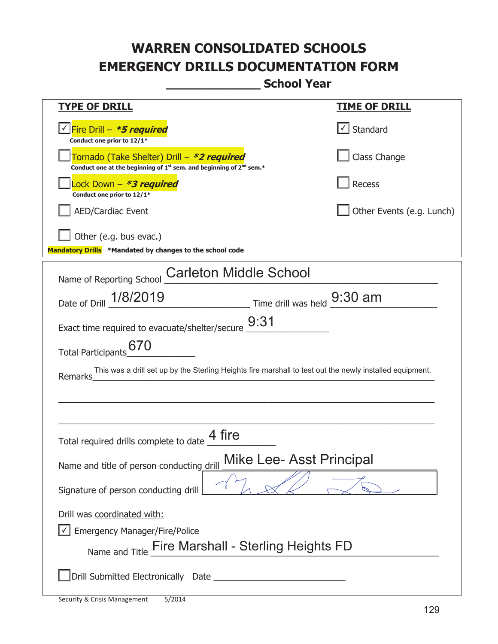**\_\_\_\_\_\_\_\_\_\_\_\_\_ School Year** 

| <u>TYPE OF DRILL</u>                                                                                                                      | <u>TIME OF DRILL</u>      |
|-------------------------------------------------------------------------------------------------------------------------------------------|---------------------------|
| <u>√ Fire Drill – <b>*5 required</b></u><br>Conduct one prior to 12/1*                                                                    | Standard                  |
| Tornado (Take Shelter) Drill – *2 required<br>Conduct one at the beginning of 1 <sup>st</sup> sem. and beginning of 2 <sup>nd</sup> sem.* | Class Change              |
| Lock Down - *3 required<br>Conduct one prior to 12/1*                                                                                     | Recess                    |
| <b>AED/Cardiac Event</b>                                                                                                                  | Other Events (e.g. Lunch) |
| Other (e.g. bus evac.)                                                                                                                    |                           |
| Mandatory Drills *Mandated by changes to the school code                                                                                  |                           |
| <b>Carleton Middle School</b><br>Name of Reporting School                                                                                 |                           |
| Date of Drill 1/8/2019<br>Time drill was held 9:30 am                                                                                     |                           |
|                                                                                                                                           |                           |
| Exact time required to evacuate/shelter/secure $\underline{\hspace{0.3cm}9:}31$                                                           |                           |
| 670<br><b>Total Participants</b>                                                                                                          |                           |
| This was a drill set up by the Sterling Heights fire marshall to test out the newly installed equipment.<br>Remarks                       |                           |
|                                                                                                                                           |                           |
|                                                                                                                                           |                           |
| 4 fire<br>Total required drills complete to date                                                                                          |                           |
| <b>Mike Lee- Asst Principal</b><br>Name and title of person conducting drill                                                              |                           |
| Signature of person conducting drill                                                                                                      |                           |
| Drill was coordinated with:                                                                                                               |                           |
| <b>Emergency Manager/Fire/Police</b>                                                                                                      |                           |
| Name and Title Fire Marshall - Sterling Heights FD                                                                                        |                           |
|                                                                                                                                           |                           |

t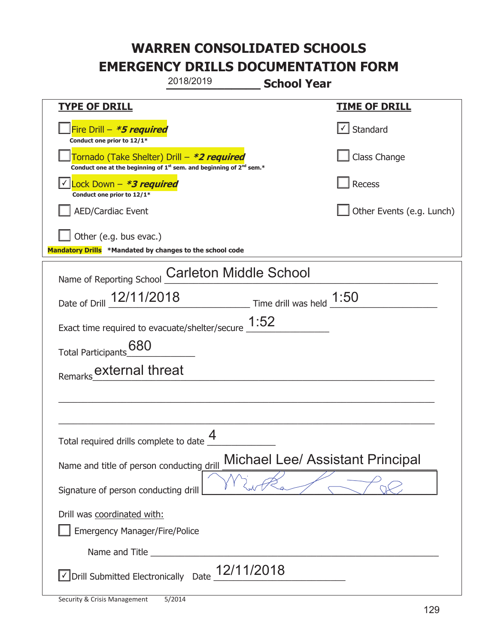|                                                                                    | 2018/2019                                                                                   | <b>School Year</b>                 |                                         |
|------------------------------------------------------------------------------------|---------------------------------------------------------------------------------------------|------------------------------------|-----------------------------------------|
| <b>TYPE OF DRILL</b>                                                               |                                                                                             |                                    | <u>TIME OF DRILL</u>                    |
| Fire Drill - *5 required<br>Conduct one prior to 12/1*                             |                                                                                             |                                    | √ Standard                              |
| Tornado (Take Shelter) Drill – *2 required                                         | Conduct one at the beginning of 1 <sup>st</sup> sem. and beginning of 2 <sup>nd</sup> sem.* |                                    | Class Change                            |
| Lock Down - *3 required<br>Conduct one prior to 12/1*                              |                                                                                             |                                    | Recess                                  |
| <b>AED/Cardiac Event</b>                                                           |                                                                                             |                                    | Other Events (e.g. Lunch)               |
| Other (e.g. bus evac.)<br>Mandatory Drills *Mandated by changes to the school code |                                                                                             |                                    |                                         |
| Name of Reporting School                                                           | <b>Carleton Middle School</b>                                                               |                                    |                                         |
| Date of Drill 12/11/2018                                                           |                                                                                             | $\_$ Time drill was held $\_$ 1:50 |                                         |
| Exact time required to evacuate/shelter/secure $\underline{1:}52$                  |                                                                                             |                                    |                                         |
| 680<br><b>Total Participants</b>                                                   |                                                                                             |                                    |                                         |
| Remarks external threat                                                            |                                                                                             |                                    |                                         |
|                                                                                    |                                                                                             |                                    |                                         |
| Total required drills complete to date $\frac{4}{1}$                               |                                                                                             |                                    |                                         |
| Name and title of person conducting drill                                          |                                                                                             |                                    | <b>Michael Lee/ Assistant Principal</b> |
| Signature of person conducting drill                                               |                                                                                             |                                    |                                         |
| Drill was coordinated with:<br><b>Emergency Manager/Fire/Police</b>                |                                                                                             |                                    |                                         |
|                                                                                    |                                                                                             |                                    |                                         |
| √ Drill Submitted Electronically Date                                              | 12/11/2018                                                                                  |                                    |                                         |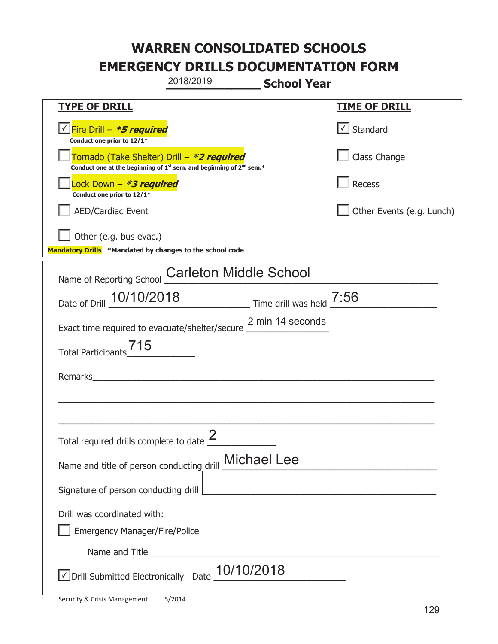|                                                                                    | 2018/2019                                                                                   | <b>School Year</b> |                           |
|------------------------------------------------------------------------------------|---------------------------------------------------------------------------------------------|--------------------|---------------------------|
| <u>TYPE OF DRILL</u>                                                               |                                                                                             |                    | <b>TIME OF DRILL</b>      |
| <u>√ Fire Drill – <i>*5 required</i></u><br>Conduct one prior to 12/1*             |                                                                                             |                    | $\cup$ Standard           |
| Tornado (Take Shelter) Drill – *2 required                                         | Conduct one at the beginning of 1 <sup>st</sup> sem. and beginning of 2 <sup>nd</sup> sem.* |                    | Class Change              |
| Lock Down - *3 required<br>Conduct one prior to 12/1*                              |                                                                                             |                    | Recess                    |
| <b>AED/Cardiac Event</b>                                                           |                                                                                             |                    | Other Events (e.g. Lunch) |
| Other (e.g. bus evac.)<br>Mandatory Drills *Mandated by changes to the school code |                                                                                             |                    |                           |
| Name of Reporting School                                                           | <b>Carleton Middle School</b>                                                               |                    |                           |
| Date of Drill 10/10/2018 Time drill was held 7:56                                  |                                                                                             |                    |                           |
| Exact time required to evacuate/shelter/secure 2 min 14 seconds                    |                                                                                             |                    |                           |
| <b>Total Participants</b>                                                          |                                                                                             |                    |                           |
| Remarks                                                                            |                                                                                             |                    |                           |
|                                                                                    |                                                                                             |                    |                           |
|                                                                                    | 2                                                                                           |                    |                           |
| Total required drills complete to date $\leq$                                      | <b>Michael Lee</b>                                                                          |                    |                           |
| Name and title of person conducting drill                                          |                                                                                             |                    |                           |
| Signature of person conducting drill                                               |                                                                                             |                    |                           |
| Drill was coordinated with:<br><b>Emergency Manager/Fire/Police</b>                |                                                                                             |                    |                           |
|                                                                                    |                                                                                             |                    |                           |
| √ Drill Submitted Electronically Date                                              | 10/10/2018                                                                                  |                    |                           |